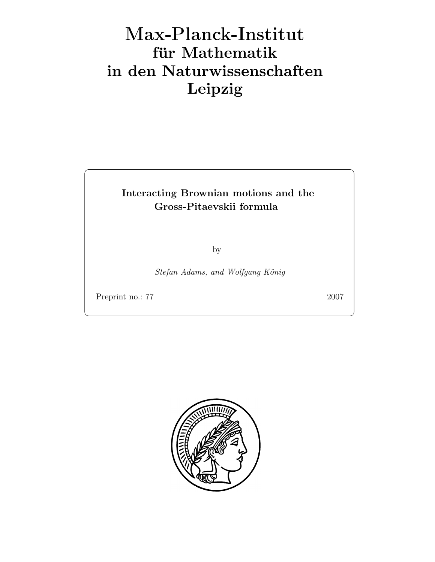# Max-Plan
k-Institut für Mathematik in den Naturwissenschaften Leipzig

# Interacting Brownian motions and the Gross-Pitaevskii formula

by

Stefan Adams, and Wolfgang König

Preprint no.: 77 2007

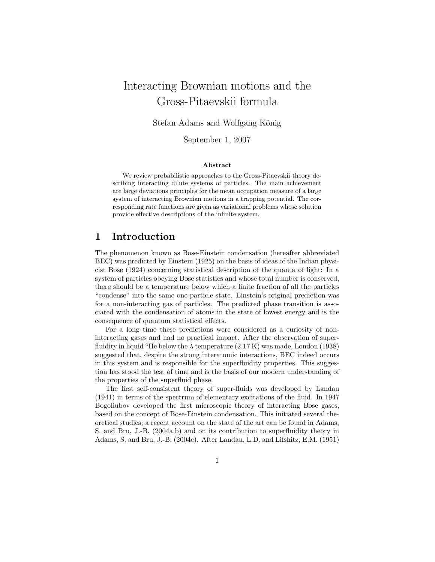# Interacting Brownian motions and the Gross-Pitaevskii formula

Stefan Adams and Wolfgang König

September 1, 2007

#### Abstract

We review probabilistic approaches to the Gross-Pitaevskii theory describing interacting dilute systems of particles. The main achievement are large deviations principles for the mean occupation measure of a large system of interacting Brownian motions in a trapping potential. The corresponding rate functions are given as variational problems whose solution provide effective descriptions of the infinite system.

### 1 Introduction

The phenomenon known as Bose-Einstein condensation (hereafter abbreviated BEC) was predicted by Einstein (1925) on the basis of ideas of the Indian physicist Bose (1924) concerning statistical description of the quanta of light: In a system of particles obeying Bose statistics and whose total number is conserved, there should be a temperature below which a finite fraction of all the particles "condense" into the same one-particle state. Einstein's original prediction was for a non-interacting gas of particles. The predicted phase transition is associated with the condensation of atoms in the state of lowest energy and is the consequence of quantum statistical effects.

For a long time these predictions were considered as a curiosity of noninteracting gases and had no practical impact. After the observation of superfluidity in liquid <sup>4</sup>He below the  $\lambda$  temperature (2.17 K) was made, London (1938) suggested that, despite the strong interatomic interactions, BEC indeed occurs in this system and is responsible for the superfluidity properties. This suggestion has stood the test of time and is the basis of our modern understanding of the properties of the superfluid phase.

The first self-consistent theory of super-fluids was developed by Landau (1941) in terms of the spectrum of elementary excitations of the fluid. In 1947 Bogoliubov developed the first microscopic theory of interacting Bose gases, based on the concept of Bose-Einstein condensation. This initiated several theoretical studies; a recent account on the state of the art can be found in Adams, S. and Bru, J.-B. (2004a,b) and on its contribution to superfluidity theory in Adams, S. and Bru, J.-B. (2004c). After Landau, L.D. and Lifshitz, E.M. (1951)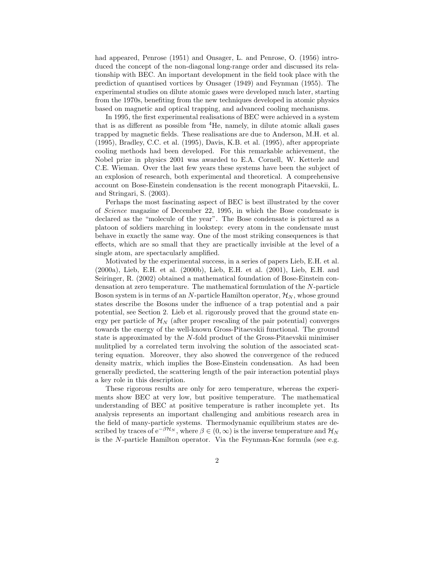had appeared, Penrose (1951) and Onsager, L. and Penrose, O. (1956) introduced the concept of the non-diagonal long-range order and discussed its relationship with BEC. An important development in the field took place with the prediction of quantised vortices by Onsager (1949) and Feynman (1955). The experimental studies on dilute atomic gases were developed much later, starting from the 1970s, benefiting from the new techniques developed in atomic physics based on magnetic and optical trapping, and advanced cooling mechanisms.

In 1995, the first experimental realisations of BEC were achieved in a system that is as different as possible from  ${}^{4}$ He, namely, in dilute atomic alkali gases trapped by magnetic fields. These realisations are due to Anderson, M.H. et al. (1995), Bradley, C.C. et al. (1995), Davis, K.B. et al. (1995), after appropriate cooling methods had been developed. For this remarkable achievement, the Nobel prize in physics 2001 was awarded to E.A. Cornell, W. Ketterle and C.E. Wieman. Over the last few years these systems have been the subject of an explosion of research, both experimental and theoretical. A comprehensive account on Bose-Einstein condensation is the recent monograph Pitaevskii, L. and Stringari, S. (2003).

Perhaps the most fascinating aspect of BEC is best illustrated by the cover of Science magazine of December 22, 1995, in which the Bose condensate is declared as the "molecule of the year". The Bose condensate is pictured as a platoon of soldiers marching in lookstep: every atom in the condensate must behave in exactly the same way. One of the most striking consequences is that effects, which are so small that they are practically invisible at the level of a single atom, are spectacularly amplified.

Motivated by the experimental success, in a series of papers Lieb, E.H. et al. (2000a), Lieb, E.H. et al. (2000b), Lieb, E.H. et al. (2001), Lieb, E.H. and Seiringer, R. (2002) obtained a mathematical foundation of Bose-Einstein condensation at zero temperature. The mathematical formulation of the N-particle Boson system is in terms of an N-particle Hamilton operator,  $\mathcal{H}_N$ , whose ground states describe the Bosons under the influence of a trap potential and a pair potential, see Section 2. Lieb et al. rigorously proved that the ground state energy per particle of  $\mathcal{H}_N$  (after proper rescaling of the pair potential) converges towards the energy of the well-known Gross-Pitaevskii functional. The ground state is approximated by the N-fold product of the Gross-Pitaevskii minimiser mulitplied by a correlated term involving the solution of the associated scattering equation. Moreover, they also showed the convergence of the reduced density matrix, which implies the Bose-Einstein condensation. As had been generally predicted, the scattering length of the pair interaction potential plays a key role in this description.

These rigorous results are only for zero temperature, whereas the experiments show BEC at very low, but positive temperature. The mathematical understanding of BEC at positive temperature is rather incomplete yet. Its analysis represents an important challenging and ambitious research area in the field of many-particle systems. Thermodynamic equilibrium states are described by traces of  $e^{-\beta \mathcal{H}_N}$ , where  $\beta \in (0,\infty)$  is the inverse temperature and  $\mathcal{H}_N$ is the N-particle Hamilton operator. Via the Feynman-Kac formula (see e.g.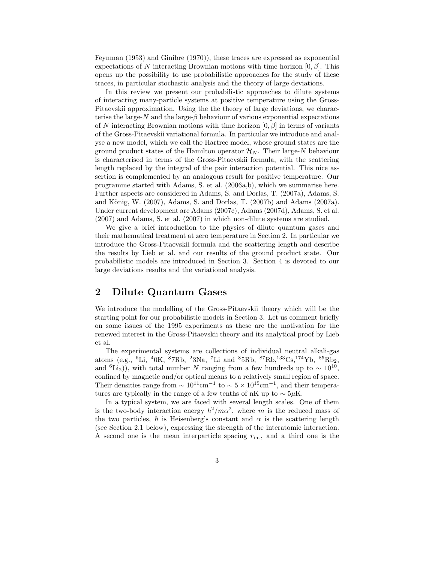Feynman (1953) and Ginibre (1970)), these traces are expressed as exponential expectations of N interacting Brownian motions with time horizon  $[0, \beta]$ . This opens up the possibility to use probabilistic approaches for the study of these traces, in particular stochastic analysis and the theory of large deviations.

In this review we present our probabilistic approaches to dilute systems of interacting many-particle systems at positive temperature using the Gross-Pitaevskii approximation. Using the the theory of large deviations, we characterise the large- $N$  and the large- $\beta$  behaviour of various exponential expectations of N interacting Brownian motions with time horizon  $[0, \beta]$  in terms of variants of the Gross-Pitaevskii variational formula. In particular we introduce and analyse a new model, which we call the Hartree model, whose ground states are the ground product states of the Hamilton operator  $\mathcal{H}_N$ . Their large-N behaviour is characterised in terms of the Gross-Pitaevskii formula, with the scattering length replaced by the integral of the pair interaction potential. This nice assertion is complemented by an analogous result for positive temperature. Our programme started with Adams, S. et al. (2006a,b), which we summarise here. Further aspects are considered in Adams, S. and Dorlas, T. (2007a), Adams, S. and König, W.  $(2007)$ , Adams, S. and Dorlas, T.  $(2007b)$  and Adams  $(2007a)$ . Under current development are Adams (2007c), Adams (2007d), Adams, S. et al. (2007) and Adams, S. et al. (2007) in which non-dilute systems are studied.

We give a brief introduction to the physics of dilute quantum gases and their mathematical treatment at zero temperature in Section 2. In particular we introduce the Gross-Pitaevskii formula and the scattering length and describe the results by Lieb et al. and our results of the ground product state. Our probabilistic models are introduced in Section 3. Section 4 is devoted to our large deviations results and the variational analysis.

# 2 Dilute Quantum Gases

We introduce the modelling of the Gross-Pitaevskii theory which will be the starting point for our probabilistic models in Section 3. Let us comment briefly on some issues of the 1995 experiments as these are the motivation for the renewed interest in the Gross-Pitaevskii theory and its analytical proof by Lieb et al.

The experimental systems are collections of individual neutral alkali-gas atoms (e.g.,  ${}^{6}$ Li,  ${}^{4}$ 0K,  ${}^{8}$ 7Rb,  ${}^{2}$ 3Na, <sup>7</sup>Li and  ${}^{8}$ 5Rb,  ${}^{8}$ <sup>7</sup>Rb,  ${}^{133}$ Cs,  ${}^{174}$ Yb,  ${}^{85}$ Rb<sub>2</sub>, and <sup>6</sup>Li<sub>2</sub>)), with total number N ranging from a few hundreds up to  $\sim 10^{10}$ , confined by magnetic and/or optical means to a relatively small region of space. Their densities range from  $\sim 10^{11}$ cm<sup>-1</sup> to  $\sim 5 \times 10^{15}$ cm<sup>-1</sup>, and their temperatures are typically in the range of a few tenths of nK up to  $\sim 5\mu$ K.

In a typical system, we are faced with several length scales. One of them is the two-body interaction energy  $\hbar^2/m\alpha^2$ , where m is the reduced mass of the two particles,  $\hbar$  is Heisenberg's constant and  $\alpha$  is the scattering length (see Section 2.1 below), expressing the strength of the interatomic interaction. A second one is the mean interparticle spacing  $r_{\text{int}}$ , and a third one is the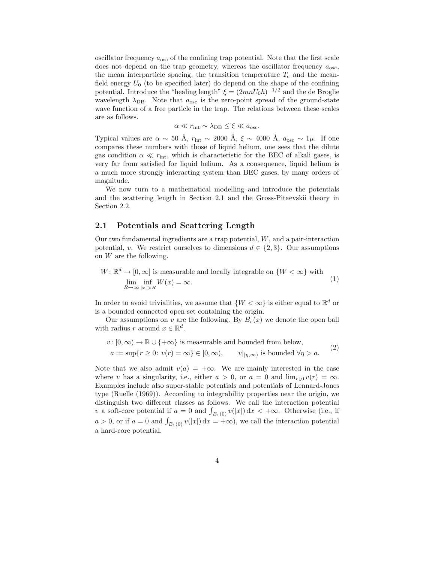oscillator frequency  $a_{\rm osc}$  of the confining trap potential. Note that the first scale does not depend on the trap geometry, whereas the oscillator frequency  $a_{\rm osc}$ , the mean interparticle spacing, the transition temperature  $T_c$  and the meanfield energy  $U_0$  (to be specified later) do depend on the shape of the confining potential. Introduce the "healing length"  $\xi = (2mnU_0\hbar)^{-1/2}$  and the de Broglie wavelength  $\lambda_{\text{DB}}$ . Note that  $a_{\text{osc}}$  is the zero-point spread of the ground-state wave function of a free particle in the trap. The relations between these scales are as follows.

 $\alpha \ll r_{\text{int}} \sim \lambda_{\text{DB}} \leq \xi \ll a_{\text{osc}}.$ 

Typical values are  $\alpha \sim 50 \text{ Å}$ ,  $r_{\text{int}} \sim 2000 \text{ Å}$ ,  $\xi \sim 4000 \text{ Å}$ ,  $a_{\text{osc}} \sim 1 \mu$ . If one compares these numbers with those of liquid helium, one sees that the dilute gas condition  $\alpha \ll r_{\text{int}}$ , which is characteristic for the BEC of alkali gases, is very far from satisfied for liquid helium. As a consequence, liquid helium is a much more strongly interacting system than BEC gases, by many orders of magnitude.

We now turn to a mathematical modelling and introduce the potentials and the scattering length in Section 2.1 and the Gross-Pitaevskii theory in Section 2.2.

#### 2.1 Potentials and Scattering Length

Our two fundamental ingredients are a trap potential, W, and a pair-interaction potential, v. We restrict ourselves to dimensions  $d \in \{2,3\}$ . Our assumptions on W are the following.

$$
W: \mathbb{R}^d \to [0, \infty] \text{ is measurable and locally integrable on } \{W < \infty\} \text{ with}
$$
\n
$$
\lim_{R \to \infty} \inf_{|x| > R} W(x) = \infty.
$$
\n(1)

In order to avoid trivialities, we assume that  $\{W < \infty\}$  is either equal to  $\mathbb{R}^d$  or is a bounded connected open set containing the origin.

Our assumptions on v are the following. By  $B_r(x)$  we denote the open ball with radius r around  $x \in \mathbb{R}^d$ .

$$
v: [0, \infty) \to \mathbb{R} \cup \{+\infty\} \text{ is measurable and bounded from below,}
$$
  

$$
a := \sup\{r \ge 0: v(r) = \infty\} \in [0, \infty), \qquad v|_{[\eta, \infty)} \text{ is bounded } \forall \eta > a.
$$
 (2)

Note that we also admit  $v(a) = +\infty$ . We are mainly interested in the case where v has a singularity, i.e., either  $a > 0$ , or  $a = 0$  and  $\lim_{r \downarrow 0} v(r) = \infty$ . Examples include also super-stable potentials and potentials of Lennard-Jones type (Ruelle (1969)). According to integrability properties near the origin, we distinguish two different classes as follows. We call the interaction potential v a soft-core potential if  $a = 0$  and  $\int_{B_1(0)} v(|x|) dx < +\infty$ . Otherwise (i.e., if  $a > 0$ , or if  $a = 0$  and  $\int_{B_1(0)} v(|x|) dx = +\infty$ , we call the interaction potential a hard-core potential.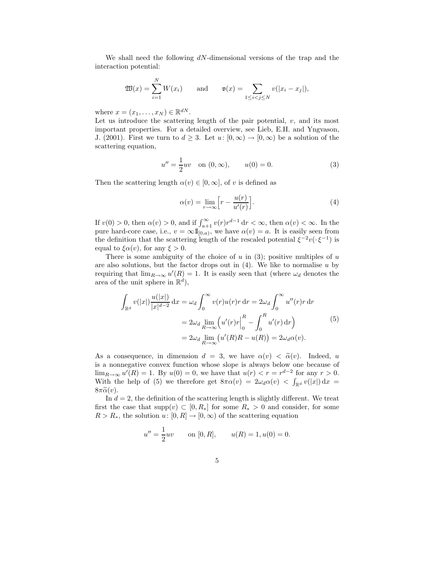We shall need the following  $dN$ -dimensional versions of the trap and the interaction potential:

$$
\mathfrak{W}(x) = \sum_{i=1}^N W(x_i) \quad \text{and} \quad \mathfrak{v}(x) = \sum_{1 \le i < j \le N} v(|x_i - x_j|),
$$

where  $x = (x_1, \ldots, x_N) \in \mathbb{R}^{dN}$ .

Let us introduce the scattering length of the pair potential,  $v$ , and its most important properties. For a detailed overview, see Lieb, E.H. and Yngvason, J. (2001). First we turn to  $d \geq 3$ . Let  $u: [0, \infty) \to [0, \infty)$  be a solution of the scattering equation,

$$
u'' = \frac{1}{2}uv \quad \text{on } (0, \infty), \qquad u(0) = 0.
$$
 (3)

Then the scattering length  $\alpha(v) \in [0,\infty]$ , of v is defined as

$$
\alpha(v) = \lim_{r \to \infty} \left[ r - \frac{u(r)}{u'(r)} \right]. \tag{4}
$$

If  $v(0) > 0$ , then  $\alpha(v) > 0$ , and if  $\int_{a+1}^{\infty} v(r)r^{d-1} dr < \infty$ , then  $\alpha(v) < \infty$ . In the pure hard-core case, i.e.,  $v = \infty 1\mathbb{1}_{[0,a)}$ , we have  $\alpha(v) = a$ . It is easily seen from the definition that the scattering length of the rescaled potential  $\xi^{-2}v(\cdot \xi^{-1})$  is equal to  $\xi \alpha(v)$ , for any  $\xi > 0$ .

There is some ambiguity of the choice of  $u$  in (3); positive multiples of  $u$ are also solutions, but the factor drops out in  $(4)$ . We like to normalise u by requiring that  $\lim_{R\to\infty} u'(R) = 1$ . It is easily seen that (where  $\omega_d$  denotes the area of the unit sphere in  $\mathbb{R}^d$ ,

$$
\int_{\mathbb{R}^d} v(|x|) \frac{u(|x|)}{|x|^{d-2}} dx = \omega_d \int_0^\infty v(r) u(r) r dr = 2\omega_d \int_0^\infty u''(r) r dr
$$

$$
= 2\omega_d \lim_{R \to \infty} \left( u'(r) r \Big|_0^R - \int_0^R u'(r) dr \right)
$$

$$
= 2\omega_d \lim_{R \to \infty} \left( u'(R)R - u(R) \right) = 2\omega_d \alpha(v).
$$
(5)

As a consequence, in dimension  $d = 3$ , we have  $\alpha(v) < \tilde{\alpha}(v)$ . Indeed, u is a nonnegative convex function whose slope is always below one because of  $\lim_{R\to\infty} u'(R) = 1$ . By  $u(0) = 0$ , we have that  $u(r) < r = r^{d-2}$  for any  $r > 0$ . With the help of (5) we therefore get  $8\pi\alpha(v) = 2\omega_d\alpha(v) < \int_{\mathbb{R}^d} v(|x|) dx =$  $8\pi\widetilde{\alpha}(v)$ .

In  $d = 2$ , the definition of the scattering length is slightly different. We treat first the case that supp $(v) \subset [0, R_*]$  for some  $R_* > 0$  and consider, for some  $R > R_*$ , the solution  $u: [0, R] \to [0, \infty)$  of the scattering equation

$$
u'' = \frac{1}{2}uv
$$
 on [0, R],  $u(R) = 1, u(0) = 0.$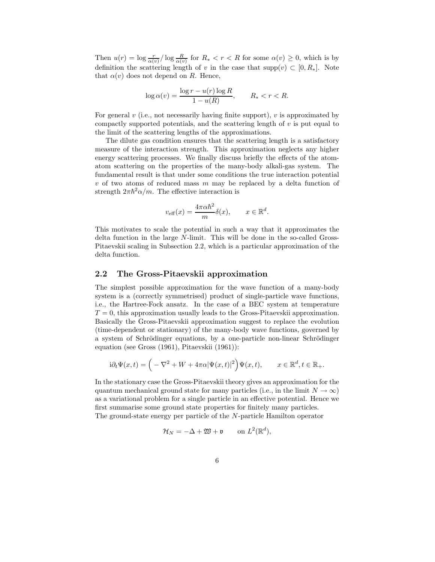Then  $u(r) = \log \frac{r}{\alpha(v)} / \log \frac{R}{\alpha(v)}$  for  $R_* < r < R$  for some  $\alpha(v) \geq 0$ , which is by definition the scattering length of v in the case that supp $(v) \subset [0, R_*]$ . Note that  $\alpha(v)$  does not depend on R. Hence,

$$
\log \alpha(v) = \frac{\log r - u(r) \log R}{1 - u(R)}, \qquad R_* < r < R.
$$

For general  $v$  (i.e., not necessarily having finite support),  $v$  is approximated by compactly supported potentials, and the scattering length of  $v$  is put equal to the limit of the scattering lengths of the approximations.

The dilute gas condition ensures that the scattering length is a satisfactory measure of the interaction strength. This approximation neglects any higher energy scattering processes. We finally discuss briefly the effects of the atomatom scattering on the properties of the many-body alkali-gas system. The fundamental result is that under some conditions the true interaction potential  $v$  of two atoms of reduced mass  $m$  may be replaced by a delta function of strength  $2\pi\hbar^2\alpha/m$ . The effective interaction is

$$
v_{\text{eff}}(x) = \frac{4\pi\alpha\hbar^2}{m}\delta(x), \qquad x \in \mathbb{R}^d.
$$

This motivates to scale the potential in such a way that it approximates the delta function in the large N-limit. This will be done in the so-called Gross-Pitaevskii scaling in Subsection 2.2, which is a particular approximation of the delta function.

#### 2.2 The Gross-Pitaevskii approximation

The simplest possible approximation for the wave function of a many-body system is a (correctly symmetrised) product of single-particle wave functions, i.e., the Hartree-Fock ansatz. In the case of a BEC system at temperature  $T = 0$ , this approximation usually leads to the Gross-Pitaevskii approximation. Basically the Gross-Pitaevskii approximation suggest to replace the evolution (time-dependent or stationary) of the many-body wave functions, governed by a system of Schrödinger equations, by a one-particle non-linear Schrödinger equation (see Gross (1961), Pitaevskii (1961)):

$$
\mathrm{i} \partial_t \Psi(x,t) = \Big(-\nabla^2 + W + 4\pi \alpha |\Psi(x,t)|^2\Big)\Psi(x,t), \qquad x\in \mathbb{R}^d, t\in \mathbb{R}_+.
$$

In the stationary case the Gross-Pitaevskii theory gives an approximation for the quantum mechanical ground state for many particles (i.e., in the limit  $N \to \infty$ ) as a variational problem for a single particle in an effective potential. Hence we first summarise some ground state properties for finitely many particles. The ground-state energy per particle of the N-particle Hamilton operator

$$
\mathcal{H}_N = -\Delta + \mathfrak{W} + \mathfrak{v} \qquad \text{on } L^2(\mathbb{R}^d),
$$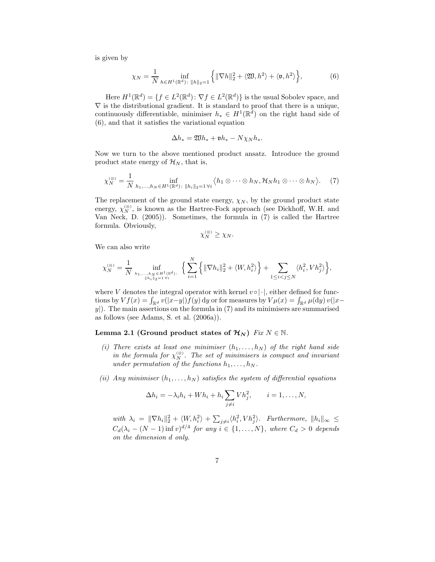is given by

$$
\chi_N = \frac{1}{N} \inf_{h \in H^1(\mathbb{R}^d) \colon \|h\|_2 = 1} \left\{ \|\nabla h\|_2^2 + \langle \mathfrak{W}, h^2 \rangle + \langle \mathfrak{v}, h^2 \rangle \right\},\tag{6}
$$

Here  $H^1(\mathbb{R}^d) = \{f \in L^2(\mathbb{R}^d) : \nabla f \in L^2(\mathbb{R}^d)\}\$ is the usual Sobolev space, and  $\nabla$  is the distributional gradient. It is standard to proof that there is a unique, continuously differentiable, minimiser  $h_* \in H^1(\mathbb{R}^d)$  on the right hand side of (6), and that it satisfies the variational equation

$$
\Delta h_* = \mathfrak{W} h_* + \mathfrak{v} h_* - N \chi_N h_*.
$$

Now we turn to the above mentioned product ansatz. Introduce the ground product state energy of  $\mathcal{H}_N$ , that is,

$$
\chi_N^{(\otimes)} = \frac{1}{N} \inf_{h_1, \dots, h_N \in H^1(\mathbb{R}^d) \colon \|h_i\|_2 = 1 \,\forall i} \langle h_1 \otimes \dots \otimes h_N, \mathcal{H}_N h_1 \otimes \dots \otimes h_N \rangle. \tag{7}
$$

The replacement of the ground state energy,  $\chi_N$ , by the ground product state energy,  $\chi_N^{(\otimes)}$ , is known as the Hartree-Fock approach (see Dickhoff, W.H. and Van Neck, D. (2005)). Sometimes, the formula in (7) is called the Hartree formula. Obviously,

$$
\chi_N^{(\otimes)} \geq \chi_N.
$$

We can also write

$$
\chi_N^{(\otimes)} = \frac{1}{N} \inf_{h_1, \dots, h_N \in H^1(\mathbb{R}^d) \colon \{ \sum_{i=1}^N \left\{ ||\nabla h_i||_2^2 + \langle W, h_i^2 \rangle \right\} + \sum_{1 \le i < j \le N} \langle h_i^2, V h_j^2 \rangle \right\},
$$

where V denotes the integral operator with kernel  $v \circ | \cdot |$ , either defined for functions by  $Vf(x) = \int_{\mathbb{R}^d} v(|x-y|) f(y) dy$  or for measures by  $V\mu(x) = \int_{\mathbb{R}^d} \mu(dy) v(|x-y|) dy$  $y$ ). The main assertions on the formula in (7) and its minimisers are summarised as follows (see Adams, S. et al. (2006a)).

#### Lemma 2.1 (Ground product states of  $\mathcal{H}_N$ ) Fix  $N \in \mathbb{N}$ .

- (i) There exists at least one minimiser  $(h_1, \ldots, h_N)$  of the right hand side in the formula for  $\chi_{N}^{(\otimes)}$ . The set of minimisers is compact and invariant under permutation of the functions  $h_1, \ldots, h_N$ .
- (ii) Any minimiser  $(h_1, \ldots, h_N)$  satisfies the system of differential equations

$$
\Delta h_i = -\lambda_i h_i + Wh_i + h_i \sum_{j \neq i} V h_j^2, \qquad i = 1, \dots, N,
$$

with  $\lambda_i = \|\nabla h_i\|_2^2 + \langle W, h_i^2 \rangle + \sum_{j \neq i} \langle h_i^2, V h_j^2 \rangle$ . Furthermore,  $\|h_i\|_{\infty} \leq$  $C_d(\lambda_i - (N-1)\inf v)^{d/4}$  for any  $i \in \{1, ..., N\}$ , where  $C_d > 0$  depends on the dimension d only.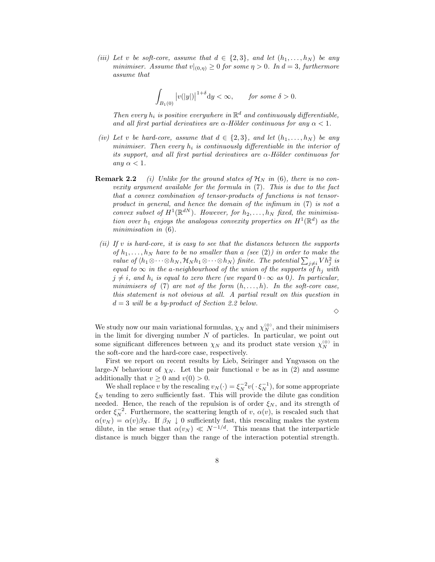(iii) Let v be soft-core, assume that  $d \in \{2,3\}$ , and let  $(h_1,\ldots,h_N)$  be any minimiser. Assume that  $v|_{(0,n)} \geq 0$  for some  $\eta > 0$ . In  $d = 3$ , furthermore assume that

$$
\int_{B_1(0)} \big|v(|y|)\big|^{1+\delta}{\rm d}y<\infty,\qquad\text{for some }\delta>0.
$$

Then every  $h_i$  is positive everywhere in  $\mathbb{R}^d$  and continuously differentiable, and all first partial derivatives are  $\alpha$ -Hölder continuous for any  $\alpha < 1$ .

- (iv) Let v be hard-core, assume that  $d \in \{2,3\}$ , and let  $(h_1,\ldots,h_N)$  be any minimiser. Then every  $h_i$  is continuously differentiable in the interior of its support, and all first partial derivatives are  $\alpha$ -Hölder continuous for any  $\alpha < 1$ .
- **Remark 2.2** (i) Unlike for the ground states of  $\mathcal{H}_N$  in (6), there is no convexity argument available for the formula in (7). This is due to the fact that a convex combination of tensor-products of functions is not tensorproduct in general, and hence the domain of the infimum in (7) is not a convex subset of  $H^1(\mathbb{R}^{dN})$ . However, for  $h_2, \ldots, h_N$  fixed, the minimisation over  $h_1$  enjoys the analogous convexity properties on  $H^1(\mathbb{R}^d)$  as the minimisation in  $(6)$ .
- (ii) If v is hard-core, it is easy to see that the distances between the supports of  $h_1, \ldots, h_N$  have to be no smaller than a (see (2)) in order to make the value of  $\langle h_1 \otimes \cdots \otimes h_N, \mathcal{H}_N h_1 \otimes \cdots \otimes h_N \rangle$  finite. The potential  $\sum_{j \neq i} V h_j^2$  is equal to  $\infty$  in the a-neighbourhood of the union of the supports of  $h_j$  with  $j \neq i$ , and  $h_i$  is equal to zero there (we regard  $0 \cdot \infty$  as 0). In particular, minimisers of (7) are not of the form  $(h, \ldots, h)$ . In the soft-core case, this statement is not obvious at all. A partial result on this question in  $d = 3$  will be a by-product of Section 2.2 below.

 $\Diamond$ 

We study now our main variational formulas,  $\chi_N$  and  $\chi_N^{(\otimes)}$ , and their minimisers in the limit for diverging number  $N$  of particles. In particular, we point out some significant differences between  $\chi_N$  and its product state version  $\chi_N^{(\otimes)}$  in the soft-core and the hard-core case, respectively.

First we report on recent results by Lieb, Seiringer and Yngvason on the large-N behaviour of  $\chi_N$ . Let the pair functional v be as in (2) and assume additionally that  $v \geq 0$  and  $v(0) > 0$ .

We shall replace v by the rescaling  $v_N(\cdot) = \xi_N^{-2} v(\cdot, \xi_N^{-1})$ , for some appropriate  $\xi_N$  tending to zero sufficiently fast. This will provide the dilute gas condition needed. Hence, the reach of the repulsion is of order  $\xi_N$ , and its strength of order  $\xi_N^{-2}$ . Furthermore, the scattering length of v,  $\alpha(v)$ , is rescaled such that  $\alpha(v_N) = \alpha(v)\beta_N$ . If  $\beta_N \downarrow 0$  sufficiently fast, this rescaling makes the system dilute, in the sense that  $\alpha(v_N) \ll N^{-1/d}$ . This means that the interparticle distance is much bigger than the range of the interaction potential strength.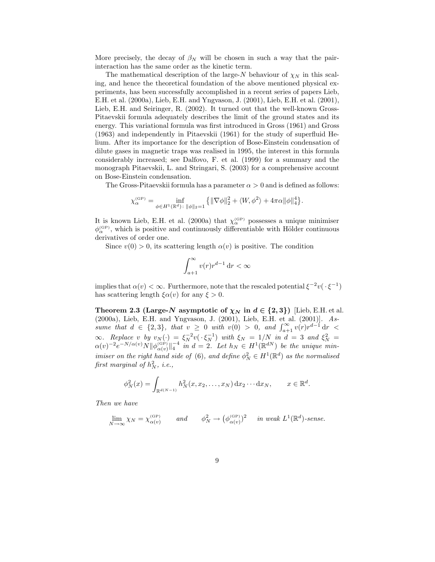More precisely, the decay of  $\beta_N$  will be chosen in such a way that the pairinteraction has the same order as the kinetic term.

The mathematical description of the large-N behaviour of  $\chi_N$  in this scaling, and hence the theoretical foundation of the above mentioned physical experiments, has been successfully accomplished in a recent series of papers Lieb, E.H. et al. (2000a), Lieb, E.H. and Yngvason, J. (2001), Lieb, E.H. et al. (2001), Lieb, E.H. and Seiringer, R. (2002). It turned out that the well-known Gross-Pitaevskii formula adequately describes the limit of the ground states and its energy. This variational formula was first introduced in Gross (1961) and Gross (1963) and independently in Pitaevskii (1961) for the study of superfluid Helium. After its importance for the description of Bose-Einstein condensation of dilute gases in magnetic traps was realised in 1995, the interest in this formula considerably increased; see Dalfovo, F. et al. (1999) for a summary and the monograph Pitaevskii, L. and Stringari, S. (2003) for a comprehensive account on Bose-Einstein condensation.

The Gross-Pitaevskii formula has a parameter  $\alpha > 0$  and is defined as follows:

$$
\chi_\alpha^{(\text{GP})} = \inf_{\phi \in H^1(\mathbb{R}^d) \colon \|\phi\|_2 = 1} \left\{ \|\nabla \phi\|_2^2 + \langle W, \phi^2 \rangle + 4\pi \alpha \|\phi\|_4^4 \right\}.
$$

It is known Lieb, E.H. et al. (2000a) that  $\chi_{\alpha}^{(\text{GP})}$  possesses a unique minimiser  $\phi_{\alpha}^{(\text{\tiny GP})}$ , which is positive and continuously differentiable with Hölder continuous derivatives of order one.

Since  $v(0) > 0$ , its scattering length  $\alpha(v)$  is positive. The condition

$$
\int_{a+1}^{\infty} v(r)r^{d-1} \, \mathrm{d}r < \infty
$$

implies that  $\alpha(v) < \infty$ . Furthermore, note that the rescaled potential  $\xi^{-2}v(\cdot \xi^{-1})$ has scattering length  $\xi \alpha(v)$  for any  $\xi > 0$ .

Theorem 2.3 (Large-N asymptotic of  $\chi_N$  in  $d \in \{2,3\}$ ) [Lieb, E.H. et al. (2000a), Lieb, E.H. and Yngvason, J. (2001), Lieb, E.H. et al. (2001)]. Assume that  $d \in \{2,3\}$ , that  $v \ge 0$  with  $v(0) > 0$ , and  $\int_{a+1}^{\infty} v(r) r^{d-1} dr$  $\infty$ . Replace v by  $v_N(\cdot) = \xi_N^{-2} v(\cdot \xi_N^{-1})$  with  $\xi_N = 1/N$  in  $d = 3$  and  $\xi_N^2 =$  $\alpha(v)^{-2}e^{-N/\alpha(v)}N\|\phi_{\alpha(v)}^{(\text{GP})}\|_4^{-4}$  in  $d=2$ . Let  $h_N\in H^1(\mathbb{R}^{dN})$  be the unique minimiser on the right hand side of (6), and define  $\phi_N^2 \in H^1(\mathbb{R}^d)$  as the normalised first marginal of  $h_N^2$ , i.e.,

$$
\phi_N^2(x) = \int_{\mathbb{R}^{d(N-1)}} h_N^2(x, x_2, \dots, x_N) dx_2 \cdots dx_N, \qquad x \in \mathbb{R}^d.
$$

Then we have

$$
\lim_{N \to \infty} \chi_N = \chi_{\alpha(v)}^{\text{(GP)}} \qquad \text{and} \qquad \phi_N^2 \to \left(\phi_{\alpha(v)}^{\text{(GP)}}\right)^2 \qquad \text{in weak } L^1(\mathbb{R}^d)\text{-}\text{sense.}
$$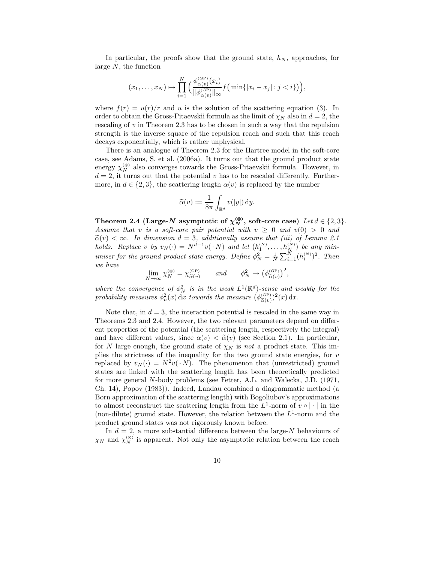In particular, the proofs show that the ground state,  $h_N$ , approaches, for large N, the function

$$
(x_1,\ldots,x_N)\mapsto \prod_{i=1}^N\Big(\frac{\phi_{\alpha(v)}^{(\text{GP})}(x_i)}{\|\phi_{\alpha(v)}^{(\text{GP})}\|_{\infty}}f\big(\min\{|x_i-x_j|\colon j
$$

where  $f(r) = u(r)/r$  and u is the solution of the scattering equation (3). In order to obtain the Gross-Pitaevskii formula as the limit of  $\chi_N$  also in  $d = 2$ , the rescaling of  $v$  in Theorem 2.3 has to be chosen in such a way that the repulsion strength is the inverse square of the repulsion reach and such that this reach decays exponentially, which is rather unphysical.

There is an analogue of Theorem 2.3 for the Hartree model in the soft-core case, see Adams, S. et al. (2006a). It turns out that the ground product state energy  $\chi_N^{(\otimes)}$  also converges towards the Gross-Pitaevskii formula. However, in  $d = 2$ , it turns out that the potential v has to be rescaled differently. Furthermore, in  $d \in \{2,3\}$ , the scattering length  $\alpha(v)$  is replaced by the number

$$
\widetilde{\alpha}(v):=\frac{1}{8\pi}\int_{\mathbb{R}^d}v(|y|)\,\mathrm{d}y.
$$

Theorem 2.4 (Large-N asymptotic of  $\chi_N^{(8)}$ , soft-core case) Let  $d \in \{2,3\}$ . Assume that v is a soft-core pair potential with  $v \geq 0$  and  $v(0) > 0$  and  $\tilde{\alpha}(v) < \infty$ . In dimension  $d = 3$ , additionally assume that (iii) of Lemma 2.1 holds. Replace v by  $v_N(\cdot) = N^{d-1}v(\cdot N)$  and let  $(h_1^{(N)}, \ldots, h_N^{(N)})$  be any minimiser for the ground product state energy. Define  $\phi_N^2 = \frac{1}{N} \sum_{i=1}^N (h_i^{(N)})^2$ . Then we have

$$
\lim_{N \to \infty} \chi_N^{(\otimes)} = \chi_{\widetilde{\alpha}(v)}^{\text{(GP)}} \qquad and \qquad \phi_N^2 \to \left(\phi_{\widetilde{\alpha}(v)}^{\text{(GP)}}\right)^2,
$$

where the convergence of  $\phi_N^2$  is in the weak  $L^1(\mathbb{R}^d)$ -sense and weakly for the probability measures  $\phi_n^2(x) dx$  towards the measure  $(\phi_{\tilde{\alpha}(v)}^{(\text{GP})})^2(x) dx$ .

Note that, in  $d = 3$ , the interaction potential is rescaled in the same way in Theorems 2.3 and 2.4. However, the two relevant parameters depend on different properties of the potential (the scattering length, respectively the integral) and have different values, since  $\alpha(v) < \tilde{\alpha}(v)$  (see Section 2.1). In particular, for N large enough, the ground state of  $\chi_N$  is not a product state. This implies the strictness of the inequality for the two ground state energies, for  $v$ replaced by  $v_N(\cdot) = N^2 v(\cdot N)$ . The phenomenon that (unrestricted) ground states are linked with the scattering length has been theoretically predicted for more general N-body problems (see Fetter, A.L. and Walecka, J.D. (1971, Ch. 14), Popov (1983)). Indeed, Landau combined a diagrammatic method (a Born approximation of the scattering length) with Bogoliubov's approximations to almost reconstruct the scattering length from the  $L^1$ -norm of  $v \circ | \cdot |$  in the (non-dilute) ground state. However, the relation between the  $L^1$ -norm and the product ground states was not rigorously known before.

In  $d = 2$ , a more substantial difference between the large-N behaviours of  $\chi_N$  and  $\chi_N^{(\otimes)}$  is apparent. Not only the asymptotic relation between the reach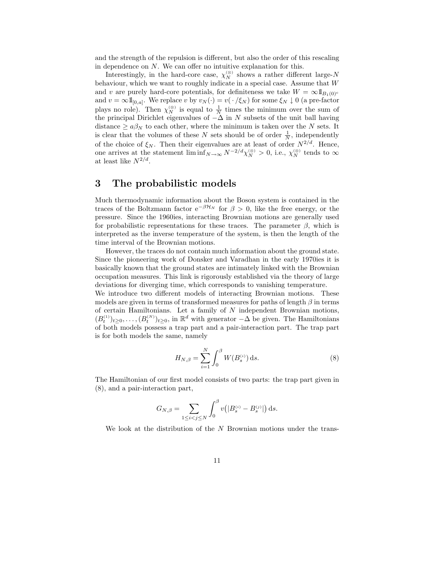and the strength of the repulsion is different, but also the order of this rescaling in dependence on N. We can offer no intuitive explanation for this.

Interestingly, in the hard-core case,  $\chi_N^{(\otimes)}$  shows a rather different large-N behaviour, which we want to roughly indicate in a special case. Assume that W and v are purely hard-core potentials, for definiteness we take  $W = \infty 1_{B_1(0)^c}$ and  $v = \infty 1\mathbb{1}_{[0,a]}$ . We replace v by  $v_N(\cdot) = v(\cdot/\xi_N)$  for some  $\xi_N \downarrow 0$  (a pre-factor plays no role). Then  $\chi_N^{(\otimes)}$  is equal to  $\frac{1}{N}$  times the minimum over the sum of the principal Dirichlet eigenvalues of  $-\Delta$  in N subsets of the unit ball having distance  $\geq a\beta_N$  to each other, where the minimum is taken over the N sets. It is clear that the volumes of these N sets should be of order  $\frac{1}{N}$ , independently of the choice of  $\xi_N$ . Then their eigenvalues are at least of order  $N^{2/d}$ . Hence, one arrives at the statement  $\liminf_{N\to\infty} N^{-2/d} \chi_N^{(\otimes)} > 0$ , i.e.,  $\chi_N^{(\otimes)}$  tends to  $\infty$ at least like  $N^{2/d}$ .

# 3 The probabilistic models

Much thermodynamic information about the Boson system is contained in the traces of the Boltzmann factor  $e^{-\beta \mathcal{H}_N}$  for  $\beta > 0$ , like the free energy, or the pressure. Since the 1960ies, interacting Brownian motions are generally used for probabilistic representations for these traces. The parameter  $\beta$ , which is interpreted as the inverse temperature of the system, is then the length of the time interval of the Brownian motions.

However, the traces do not contain much information about the ground state. Since the pioneering work of Donsker and Varadhan in the early 1970ies it is basically known that the ground states are intimately linked with the Brownian occupation measures. This link is rigorously established via the theory of large deviations for diverging time, which corresponds to vanishing temperature.

We introduce two different models of interacting Brownian motions. These models are given in terms of transformed measures for paths of length  $\beta$  in terms of certain Hamiltonians. Let a family of  $N$  independent Brownian motions,  $(B_t^{(1)})_{t\geq0},\ldots,(B_t^{(N)})_{t\geq0}$ , in  $\mathbb{R}^d$  with generator  $-\Delta$  be given. The Hamiltonians of both models possess a trap part and a pair-interaction part. The trap part is for both models the same, namely

$$
H_{N,\beta} = \sum_{i=1}^{N} \int_0^{\beta} W(B_s^{(i)}) \, \mathrm{d}s. \tag{8}
$$

The Hamiltonian of our first model consists of two parts: the trap part given in (8), and a pair-interaction part,

$$
G_{N,\beta} = \sum_{1 \le i < j \le N} \int_0^\beta v(|B_s^{(i)} - B_s^{(j)}|) \, \mathrm{d} s.
$$

We look at the distribution of the  $N$  Brownian motions under the trans-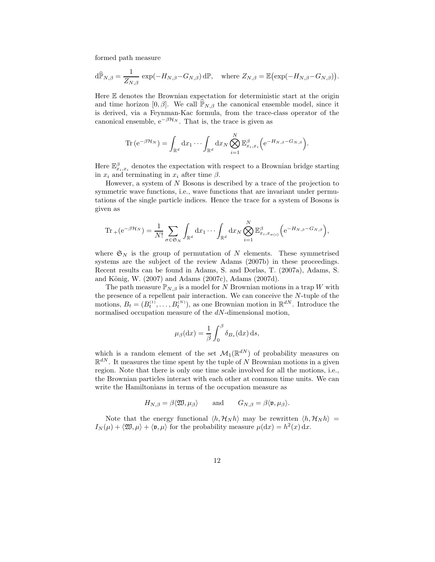formed path measure

$$
\mathrm{d}\widehat{\mathbb{P}}_{N,\beta} = \frac{1}{Z_{N,\beta}} \exp(-H_{N,\beta} - G_{N,\beta}) \,\mathrm{d}\mathbb{P}, \quad \text{where } Z_{N,\beta} = \mathbb{E}(\exp(-H_{N,\beta} - G_{N,\beta})).
$$

Here  $E$  denotes the Brownian expectation for deterministic start at the origin and time horizon [0,  $\beta$ ]. We call  $\mathbb{P}_{N,\beta}$  the canonical ensemble model, since it is derived, via a Feynman-Kac formula, from the trace-class operator of the canonical ensemble,  $e^{-\beta \mathcal{H}_N}$ . That is, the trace is given as

$$
\operatorname{Tr}\left(e^{-\beta \mathcal{H}_N}\right)=\int_{\mathbb{R}^d} dx_1 \cdots \int_{\mathbb{R}^d} dx_N \bigotimes_{i=1}^N \mathbb{E}^{\beta}_{x_i,x_i}\left(e^{-H_{N,\beta}-G_{N,\beta}}\right).
$$

Here  $\mathbb{E}^{\beta}_{x_i,x_i}$  denotes the expectation with respect to a Brownian bridge starting in  $x_i$  and terminating in  $x_i$  after time  $\beta$ .

However, a system of N Bosons is described by a trace of the projection to symmetric wave functions, i.e., wave functions that are invariant under permutations of the single particle indices. Hence the trace for a system of Bosons is given as

$$
\operatorname{Tr}\nolimits{}_{+}(e^{-\beta \mathcal{H}_N})=\frac{1}{N!}\sum_{\sigma\in\mathfrak{S}_N}\int_{\mathbb{R}^d}dx_1\cdots\int_{\mathbb{R}^d}dx_N\bigotimes_{i=1}^N\mathbb{E}^{\beta}_{x_i,x_{\sigma(i)}}\Big(e^{-H_{N,\beta}-G_{N,\beta}}\Big),
$$

where  $\mathfrak{S}_N$  is the group of permutation of N elements. These symmetrised systems are the subject of the review Adams (2007b) in these proceedings. Recent results can be found in Adams, S. and Dorlas, T. (2007a), Adams, S. and König, W.  $(2007)$  and Adams  $(2007c)$ , Adams  $(2007d)$ .

The path measure  $\mathbb{P}_{N,\beta}$  is a model for N Brownian motions in a trap W with the presence of a repellent pair interaction. We can conceive the N-tuple of the motions,  $B_t = (B_t^{(1)}, \ldots, B_t^{(N)})$ , as one Brownian motion in  $\mathbb{R}^{dN}$ . Introduce the normalised occupation measure of the dN-dimensional motion,

$$
\mu_{\beta}(\mathrm{d}x) = \frac{1}{\beta} \int_0^{\beta} \delta_{B_s}(\mathrm{d}x) \,\mathrm{d}s,
$$

which is a random element of the set  $\mathcal{M}_1(\mathbb{R}^{dN})$  of probability measures on  $\mathbb{R}^{dN}$ . It measures the time spent by the tuple of N Brownian motions in a given region. Note that there is only one time scale involved for all the motions, i.e., the Brownian particles interact with each other at common time units. We can write the Hamiltonians in terms of the occupation measure as

$$
H_{N,\beta} = \beta \langle \mathfrak{W}, \mu_{\beta} \rangle \quad \text{and} \quad G_{N,\beta} = \beta \langle \mathfrak{v}, \mu_{\beta} \rangle.
$$

Note that the energy functional  $\langle h, \mathcal{H}_N h \rangle$  may be rewritten  $\langle h, \mathcal{H}_N h \rangle =$  $I_N(\mu) + \langle \mathfrak{W}, \mu \rangle + \langle \mathfrak{v}, \mu \rangle$  for the probability measure  $\mu(\mathrm{d}x) = h^2(x) \, \mathrm{d}x$ .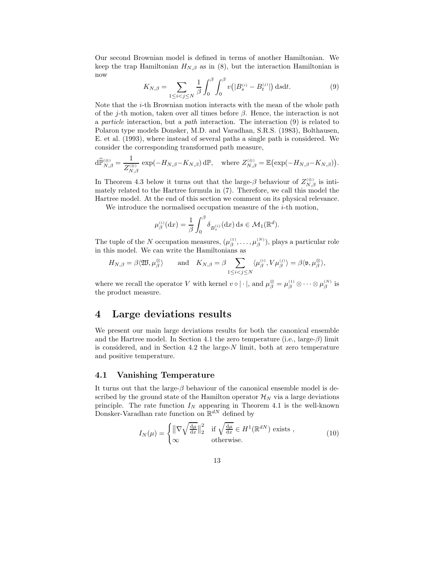Our second Brownian model is defined in terms of another Hamiltonian. We keep the trap Hamiltonian  $H_{N,\beta}$  as in (8), but the interaction Hamiltonian is now

$$
K_{N,\beta} = \sum_{1 \le i < j \le N} \frac{1}{\beta} \int_0^\beta \int_0^\beta v(|B_s^{(i)} - B_t^{(j)}|) \, \mathrm{d} s \mathrm{d} t. \tag{9}
$$

Note that the  $i$ -th Brownian motion interacts with the mean of the whole path of the j-th motion, taken over all times before  $\beta$ . Hence, the interaction is not a particle interaction, but a path interaction. The interaction (9) is related to Polaron type models Donsker, M.D. and Varadhan, S.R.S. (1983), Bolthausen, E. et al. (1993), where instead of several paths a single path is considered. We consider the corresponding transformed path measure,

$$
\mathrm{d}\widehat{\mathbb{P}}_{N,\beta}^{\otimes} = \frac{1}{Z_{N,\beta}^{(\otimes)}} \exp(-H_{N,\beta} - K_{N,\beta}) \,\mathrm{d}\mathbb{P}, \quad \text{where } Z_{N,\beta}^{\otimes} = \mathbb{E}\big(\exp(-H_{N,\beta} - K_{N,\beta})\big).
$$

In Theorem 4.3 below it turns out that the large- $\beta$  behaviour of  $Z_{N,\beta}^{(\otimes)}$  is intimately related to the Hartree formula in (7). Therefore, we call this model the Hartree model. At the end of this section we comment on its physical relevance.

We introduce the normalised occupation measure of the  $i$ -th motion,

$$
\mu_{\beta}^{(i)}(\mathrm{d}x) = \frac{1}{\beta} \int_0^{\beta} \delta_{B_s^{(i)}}(\mathrm{d}x) \,\mathrm{d}s \in \mathcal{M}_1(\mathbb{R}^d).
$$

The tuple of the N occupation measures,  $(\mu_{\beta}^{(1)}, \ldots, \mu_{\beta}^{(N)})$ , plays a particular role in this model. We can write the Hamiltonians as

$$
H_{N,\beta} = \beta \langle \mathfrak{W}, \mu_{\beta}^{\otimes} \rangle \quad \text{and} \quad K_{N,\beta} = \beta \sum_{1 \leq i < j \leq N} \langle \mu_{\beta}^{(i)}, V \mu_{\beta}^{(j)} \rangle = \beta \langle \mathfrak{v}, \mu_{\beta}^{\otimes} \rangle,
$$

where we recall the operator V with kernel  $v \circ |\cdot|$ , and  $\mu_{\beta}^{\otimes} = \mu_{\beta}^{(1)} \otimes \cdots \otimes \mu_{\beta}^{(N)}$  is the product measure.

### 4 Large deviations results

We present our main large deviations results for both the canonical ensemble and the Hartree model. In Section 4.1 the zero temperature (i.e., large- $\beta$ ) limit is considered, and in Section 4.2 the large-N limit, both at zero temperature and positive temperature.

#### 4.1 Vanishing Temperature

It turns out that the large- $\beta$  behaviour of the canonical ensemble model is described by the ground state of the Hamilton operator  $\mathcal{H}_N$  via a large deviations principle. The rate function  $I_N$  appearing in Theorem 4.1 is the well-known Donsker-Varadhan rate function on  $\mathbb{R}^{dN}$  defined by

$$
I_N(\mu) = \begin{cases} \n\left\| \nabla \sqrt{\frac{d\mu}{dx}} \right\|_2^2 & \text{if } \sqrt{\frac{d\mu}{dx}} \in H^1(\mathbb{R}^{dN}) \text{ exists,} \\
\infty & \text{otherwise.}\n\end{cases} \tag{10}
$$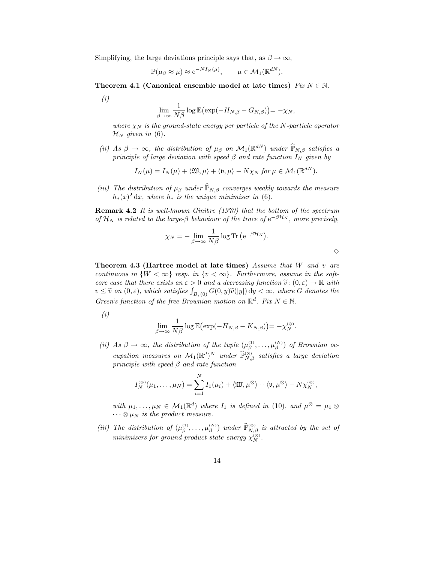Simplifying, the large deviations principle says that, as  $\beta \to \infty$ ,

$$
\mathbb{P}(\mu_{\beta} \approx \mu) \approx e^{-NI_N(\mu)}, \qquad \mu \in \mathcal{M}_1(\mathbb{R}^{dN}).
$$

Theorem 4.1 (Canonical ensemble model at late times)  $Fix N \in \mathbb{N}$ .

(i)

$$
\lim_{\beta \to \infty} \frac{1}{N\beta} \log \mathbb{E} \big( \exp(-H_{N,\beta} - G_{N,\beta}) \big) = -\chi_N,
$$

where  $\chi_N$  is the ground-state energy per particle of the N-particle operator  $\mathcal{H}_N$  given in (6).

(ii) As  $\beta \to \infty$ , the distribution of  $\mu_{\beta}$  on  $\mathcal{M}_1(\mathbb{R}^{dN})$  under  $\widehat{\mathbb{P}}_{N,\beta}$  satisfies a principle of large deviation with speed  $\beta$  and rate function  $I_N$  given by

$$
I_N(\mu) = I_N(\mu) + \langle \mathfrak{W}, \mu \rangle + \langle \mathfrak{v}, \mu \rangle - N\chi_N \text{ for } \mu \in \mathcal{M}_1(\mathbb{R}^{dN}).
$$

(iii) The distribution of  $\mu_{\beta}$  under  $\widehat{\mathbb{P}}_{N,\beta}$  converges weakly towards the measure  $h_*(x)^2 dx$ , where  $h_*$  is the unique minimiser in (6).

Remark 4.2 It is well-known Ginibre (1970) that the bottom of the spectrum of  $\mathcal{H}_N$  is related to the large- $\beta$  behaviour of the trace of  $e^{-\beta \mathcal{H}_N}$ , more precisely,

$$
\chi_N = -\lim_{\beta \to \infty} \frac{1}{N\beta} \log \text{Tr} \left( e^{-\beta \mathcal{H}_N} \right).
$$

 $\Diamond$ 

Theorem 4.3 (Hartree model at late times) Assume that  $W$  and  $v$  are continuous in  $\{W < \infty\}$  resp. in  $\{v < \infty\}$ . Furthermore, assume in the softcore case that there exists an  $\varepsilon > 0$  and a decreasing function  $\tilde{v}: (0, \varepsilon) \to \mathbb{R}$  with  $v\leq \widetilde{v}$  on  $(0,\varepsilon)$ , which satisfies  $\int_{B_{\varepsilon}(0)}G(0,y)\widetilde{v}(|y|)dy < \infty$ , where  $G$  denotes the Green's function of the free Brownian motion on  $\mathbb{R}^d$ . Fix  $N \in \mathbb{N}$ .

(i)

$$
\lim_{\beta \to \infty} \frac{1}{N\beta} \log \mathbb{E} \big( \exp(-H_{N,\beta} - K_{N,\beta}) \big) = -\chi_N^{(\otimes)}.
$$

(ii) As  $\beta \to \infty$ , the distribution of the tuple  $(\mu_{\beta}^{(1)}, \ldots, \mu_{\beta}^{(N)})$  of Brownian occupation measures on  $\mathcal{M}_1(\mathbb{R}^d)^N$  under  $\widehat{\mathbb{P}}_{N,\beta}^{(\otimes)}$  satisfies a large deviation principle with speed  $\beta$  and rate function

$$
I_N^{(\otimes)}(\mu_1,\ldots,\mu_N)=\sum_{i=1}^N I_1(\mu_i)+\langle \mathfrak{W},\mu^\otimes\rangle+\langle \mathfrak{v},\mu^\otimes\rangle-N\chi_N^{(\otimes)},
$$

with  $\mu_1, \ldots, \mu_N \in \mathcal{M}_1(\mathbb{R}^d)$  where  $I_1$  is defined in (10), and  $\mu^{\otimes} = \mu_1 \otimes$  $\cdots \otimes \mu_N$  is the product measure.

(iii) The distribution of  $(\mu_{\beta}^{(1)}, \ldots, \mu_{\beta}^{(N)})$  under  $\widehat{\mathbb{P}}_{N,\beta}^{(\otimes)}$  is attracted by the set of minimisers for ground product state energy  $\chi_{N}^{(\otimes)}$ .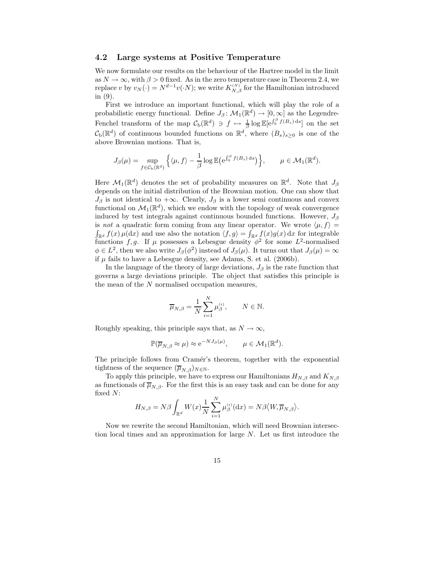#### 4.2 Large systems at Positive Temperature

We now formulate our results on the behaviour of the Hartree model in the limit as  $N \to \infty$ , with  $\beta > 0$  fixed. As in the zero temperature case in Theorem 2.4, we replace v by  $v_N(\cdot) = N^{d-1}v(\cdot N)$ ; we write  $K_{N,\beta}^{(N)}$  for the Hamiltonian introduced in (9).

First we introduce an important functional, which will play the role of a probabilistic energy functional. Define  $J_\beta \colon \mathcal{M}_1(\mathbb{R}^d) \to [0,\infty]$  as the Legendre-Fenchel transform of the map  $C_{\rm b}(\mathbb{R}^d) \ni f \mapsto \frac{1}{\beta} \log \mathbb{E}[e^{\int_0^{\beta} f(B_s) ds}]$  on the set  $\mathcal{C}_{\mathrm{b}}(\mathbb{R}^d)$  of continuous bounded functions on  $\mathbb{R}^d$ , where  $(B_s)_{s\geq 0}$  is one of the above Brownian motions. That is,

$$
J_{\beta}(\mu) = \sup_{f \in \mathcal{C}_{\mathbf{b}}(\mathbb{R}^d)} \left\{ \langle \mu, f \rangle - \frac{1}{\beta} \log \mathbb{E} \left( e^{\int_0^{\beta} f(B_s) ds} \right) \right\}, \quad \mu \in \mathcal{M}_1(\mathbb{R}^d).
$$

Here  $\mathcal{M}_1(\mathbb{R}^d)$  denotes the set of probability measures on  $\mathbb{R}^d$ . Note that  $J_\beta$ depends on the initial distribution of the Brownian motion. One can show that  $J_{\beta}$  is not identical to  $+\infty$ . Clearly,  $J_{\beta}$  is a lower semi continuous and convex functional on  $\mathcal{M}_1(\mathbb{R}^d)$ , which we endow with the topology of weak convergence induced by test integrals against continuous bounded functions. However,  $J_{\beta}$ is not a quadratic form coming from any linear operator. We wrote  $\langle \mu, f \rangle =$  $\int_{\mathbb{R}^d} f(x) \mu(dx)$  and use also the notation  $\langle f, g \rangle = \int_{\mathbb{R}^d} f(x) g(x) dx$  for integrable functions f, g. If  $\mu$  possesses a Lebesgue density  $\phi^2$  for some  $L^2$ -normalised  $\phi \in L^2$ , then we also write  $J_\beta(\phi^2)$  instead of  $J_\beta(\mu)$ . It turns out that  $J_\beta(\mu) = \infty$ if  $\mu$  fails to have a Lebesgue density, see Adams, S. et al. (2006b).

In the language of the theory of large deviations,  $J_\beta$  is the rate function that governs a large deviations principle. The object that satisfies this principle is the mean of the N normalised occupation measures,

$$
\overline{\mu}_{N,\beta} = \frac{1}{N} \sum_{i=1}^N \mu_{\beta}^{(i)}, \qquad N \in \mathbb{N}.
$$

Roughly speaking, this principle says that, as  $N \to \infty$ ,

$$
\mathbb{P}(\overline{\mu}_{N,\beta} \approx \mu) \approx e^{-NJ_{\beta}(\mu)}, \qquad \mu \in \mathcal{M}_1(\mathbb{R}^d).
$$

The principle follows from Cramér's theorem, together with the exponential tightness of the sequence  $(\overline{\mu}_{N,\beta})_{N\in\mathbb{N}}$ .

To apply this principle, we have to express our Hamiltonians  $H_{N,\beta}$  and  $K_{N,\beta}$ as functionals of  $\overline{\mu}_{N,\beta}$ . For the first this is an easy task and can be done for any fixed N:

$$
H_{N,\beta} = N\beta \int_{\mathbb{R}^d} W(x) \frac{1}{N} \sum_{i=1}^N \mu_{\beta}^{(i)}(\mathrm{d}x) = N\beta \langle W, \overline{\mu}_{N,\beta} \rangle.
$$

Now we rewrite the second Hamiltonian, which will need Brownian intersection local times and an approximation for large N. Let us first introduce the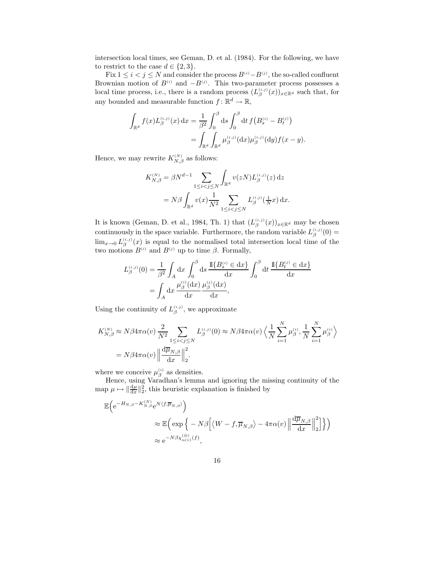intersection local times, see Geman, D. et al. (1984). For the following, we have to restrict to the case  $d \in \{2, 3\}.$ 

Fix  $1 \leq i < j \leq N$  and consider the process  $B^{(i)} - B^{(j)}$ , the so-called confluent Brownian motion of  $B^{(i)}$  and  $-B^{(j)}$ . This two-parameter process possesses a local time process, i.e., there is a random process  $(L_{\beta}^{(i,j)}(x))_{x\in\mathbb{R}^d}$  such that, for any bounded and measurable function  $f: \mathbb{R}^d \to \mathbb{R}$ ,

$$
\int_{\mathbb{R}^d} f(x) L_{\beta}^{(i,j)}(x) dx = \frac{1}{\beta^2} \int_0^{\beta} ds \int_0^{\beta} dt f(B_s^{(i)} - B_t^{(j)})
$$
  
= 
$$
\int_{\mathbb{R}^d} \int_{\mathbb{R}^d} \mu_{\beta}^{(i,j)}(dx) \mu_{\beta}^{(i,j)}(dy) f(x - y).
$$

Hence, we may rewrite  $K_{N,\beta}^{(N)}$  as follows:

$$
K_{N,\beta}^{(N)} = \beta N^{d-1} \sum_{1 \le i < j \le N} \int_{\mathbb{R}^d} v(zN) L_{\beta}^{(i,j)}(z) dz
$$
  
=  $N\beta \int_{\mathbb{R}^d} v(x) \frac{1}{N^2} \sum_{1 \le i < j \le N} L_{\beta}^{(i,j)}(\frac{1}{N}x) dx.$ 

It is known (Geman, D. et al., 1984, Th. 1) that  $(L_{\beta}^{(i,j)}(x))_{x \in \mathbb{R}^d}$  may be chosen continuously in the space variable. Furthermore, the random variable  $L_{\beta}^{(i,j)}(0) =$  $\lim_{x\to 0} L_{\beta}^{(i,j)}(x)$  is equal to the normalised total intersection local time of the two motions  $B^{(i)}$  and  $B^{(j)}$  up to time  $\beta$ . Formally,

$$
L_{\beta}^{(i,j)}(0) = \frac{1}{\beta^2} \int_A dx \int_0^{\beta} ds \frac{\mathbb{1}\{B_s^{(i)} \in dx\}}{dx} \int_0^{\beta} dt \frac{\mathbb{1}\{B_t^{(j)} \in dx\}}{dx}
$$
  
= 
$$
\int_A dx \frac{\mu_{\beta}^{(i)}(dx)}{dx} \frac{\mu_{\beta}^{(j)}(dx)}{dx},
$$

Using the continuity of  $L_{\beta}^{(i,j)}$ , we approximate

$$
K_{N,\beta}^{(N)} \approx N\beta 4\pi \alpha(v) \frac{2}{N^2} \sum_{1 \le i < j \le N} L_{\beta}^{(i,j)}(0) \approx N\beta 4\pi \alpha(v) \left\langle \frac{1}{N} \sum_{i=1}^N \mu_{\beta}^{(i)}, \frac{1}{N} \sum_{i=1}^N \mu_{\beta}^{(i)} \right\rangle
$$
  
=  $N\beta 4\pi \alpha(v) \left\| \frac{d\overline{\mu}_{N,\beta}}{dx} \right\|_2^2$ .

where we conceive  $\mu_{\beta}^{(i)}$  as densities.

Hence, using Varadhan's lemma and ignoring the missing continuity of the map  $\mu \mapsto \|\frac{d\mu}{dx}\|_2^2$ , this heuristic explanation is finished by

$$
\mathbb{E}\Big(e^{-H_{N,\beta}-K_{N,\beta}^{(N)}}e^{N\langle f,\overline{\mu}_{N,\beta}\rangle}\Big)
$$
  
\$\approx \mathbb{E}\Big(\exp\Big\{-N\beta\Big[\langle W-f,\overline{\mu}\_{N,\beta}\rangle-4\pi\alpha(v)\left\|\frac{\mathrm{d}\overline{\mu}\_{N,\beta}}{\mathrm{d}x}\right\|\_2^2\Big]\Big\}\Big)\$  
\$\approx e^{-N\beta\chi\_{\alpha(v)}^{(\otimes)}(f)},\$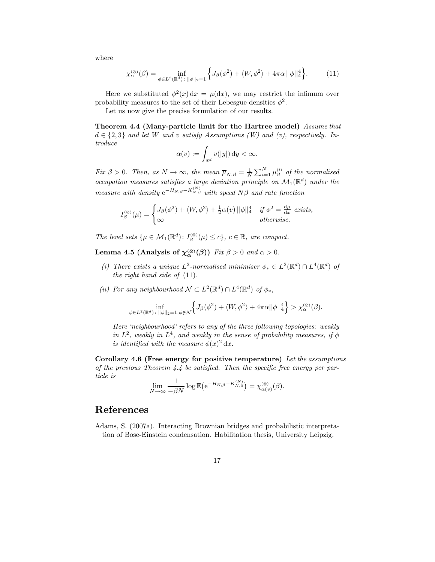where

$$
\chi_{\alpha}^{(\otimes)}(\beta) = \inf_{\phi \in L^2(\mathbb{R}^d) \colon \|\phi\|_2 = 1} \left\{ J_\beta(\phi^2) + \langle W, \phi^2 \rangle + 4\pi\alpha \, \|\phi\|_4^4 \right\}.
$$
 (11)

Here we substituted  $\phi^2(x) dx = \mu(dx)$ , we may restrict the infimum over probability measures to the set of their Lebesgue densities  $\phi^2$ .

Let us now give the precise formulation of our results.

Theorem 4.4 (Many-particle limit for the Hartree model) Assume that  $d \in \{2,3\}$  and let W and v satisfy Assumptions (W) and (v), respectively. Introduce

$$
\alpha(v) := \int_{\mathbb{R}^d} v(|y|) \, \mathrm{d}y < \infty.
$$

Fix  $\beta > 0$ . Then, as  $N \to \infty$ , the mean  $\overline{\mu}_{N,\beta} = \frac{1}{N} \sum_{i=1}^{N} \mu_{\beta}^{(i)}$  of the normalised occupation measures satisfies a large deviation principle on  $\mathcal{M}_1(\mathbb{R}^d)$  under the measure with density  $e^{-H_{N,\beta}-K_{N,\beta}^{(N)}}$  with speed  $N\beta$  and rate function

$$
I_{\beta}^{(\otimes)}(\mu) = \begin{cases} J_{\beta}(\phi^2) + \langle W, \phi^2 \rangle + \frac{1}{2}\alpha(v) ||\phi||_4^4 & \text{if } \phi^2 = \frac{d\mu}{dx} \text{ exists,} \\ \infty & \text{otherwise.} \end{cases}
$$

The level sets  $\{\mu \in \mathcal{M}_1(\mathbb{R}^d) : I_{\beta}^{(\otimes)}(\mu) \le c\}, c \in \mathbb{R}, \text{ are compact.}$ 

Lemma 4.5 (Analysis of  $\chi_{\alpha}^{(\otimes)}(\beta)$ ) Fix  $\beta > 0$  and  $\alpha > 0$ .

- (i) There exists a unique  $L^2$ -normalised minimiser  $\phi_* \in L^2(\mathbb{R}^d) \cap L^4(\mathbb{R}^d)$  of the right hand side of  $(11)$ .
- (ii) For any neighbourhood  $\mathcal{N} \subset L^2(\mathbb{R}^d) \cap L^4(\mathbb{R}^d)$  of  $\phi_*$ ,

$$
\inf_{\phi \in L^2(\mathbb{R}^d) \,:\, \|\phi\|_2 = 1, \phi \notin \mathcal{N}} \left\{ J_\beta(\phi^2) + \langle W, \phi^2 \rangle + 4\pi \alpha ||\phi||_4^4 \right\} > \chi_\alpha^{(\otimes)}(\beta).
$$

Here 'neighbourhood' refers to any of the three following topologies: weakly in  $L^2$ , weakly in  $L^4$ , and weakly in the sense of probability measures, if  $\phi$ is identified with the measure  $\phi(x)^2 dx$ .

Corollary 4.6 (Free energy for positive temperature) Let the assumptions of the previous Theorem 4.4 be satisfied. Then the specific free energy per particle is

$$
\lim_{N \to \infty} \frac{1}{-\beta N} \log \mathbb{E} \big( e^{-H_{N,\beta} - K_{N,\beta}^{(N)}} \big) = \chi_{\alpha(v)}^{(\otimes)}(\beta).
$$

# References

Adams, S. (2007a). Interacting Brownian bridges and probabilistic interpretation of Bose-Einstein condensation. Habilitation thesis, University Leipzig.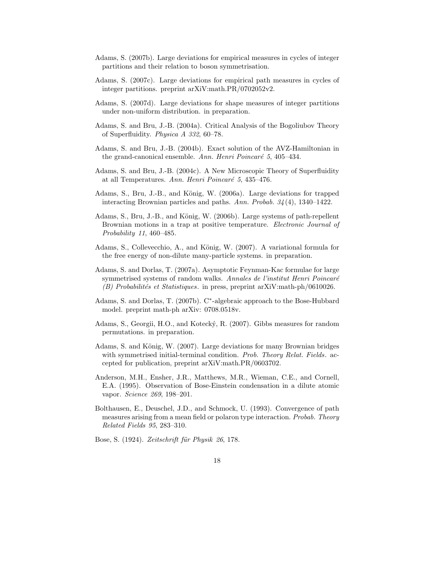- Adams, S. (2007b). Large deviations for empirical measures in cycles of integer partitions and their relation to boson symmetrisation.
- Adams, S. (2007c). Large deviations for empirical path measures in cycles of integer partitions. preprint arXiV:math.PR/0702052v2.
- Adams, S. (2007d). Large deviations for shape measures of integer partitions under non-uniform distribution. in preparation.
- Adams, S. and Bru, J.-B. (2004a). Critical Analysis of the Bogoliubov Theory of Superfluidity. Physica A 332, 60–78.
- Adams, S. and Bru, J.-B. (2004b). Exact solution of the AVZ-Hamiltonian in the grand-canonical ensemble. Ann. Henri Poincaré  $5, 405-434$ .
- Adams, S. and Bru, J.-B. (2004c). A New Microscopic Theory of Superfluidity at all Temperatures. Ann. Henri Poincaré 5, 435-476.
- Adams, S., Bru, J.-B., and König, W. (2006a). Large deviations for trapped interacting Brownian particles and paths. Ann. Probab.  $34(4)$ , 1340–1422.
- Adams, S., Bru, J.-B., and König, W. (2006b). Large systems of path-repellent Brownian motions in a trap at positive temperature. Electronic Journal of Probability 11, 460–485.
- Adams, S., Collevecchio, A., and König, W. (2007). A variational formula for the free energy of non-dilute many-particle systems. in preparation.
- Adams, S. and Dorlas, T. (2007a). Asymptotic Feynman-Kac formulae for large symmetrised systems of random walks. Annales de l'institut Henri Poincaré  $(B)$  Probabilités et Statistiques. in press, preprint arXiV:math-ph/0610026.
- Adams, S. and Dorlas, T. (2007b). C<sup>∗</sup> -algebraic approach to the Bose-Hubbard model. preprint math-ph arXiv: 0708.0518v.
- Adams, S., Georgii, H.O., and Kotecký, R. (2007). Gibbs measures for random permutations. in preparation.
- Adams, S. and König, W. (2007). Large deviations for many Brownian bridges with symmetrised initial-terminal condition. Prob. Theory Relat. Fields. accepted for publication, preprint arXiV:math.PR/0603702.
- Anderson, M.H., Ensher, J.R., Matthews, M.R., Wieman, C.E., and Cornell, E.A. (1995). Observation of Bose-Einstein condensation in a dilute atomic vapor. Science 269, 198–201.
- Bolthausen, E., Deuschel, J.D., and Schmock, U. (1993). Convergence of path measures arising from a mean field or polaron type interaction. Probab. Theory Related Fields 95, 283–310.
- Bose, S. (1924). Zeitschrift für Physik 26, 178.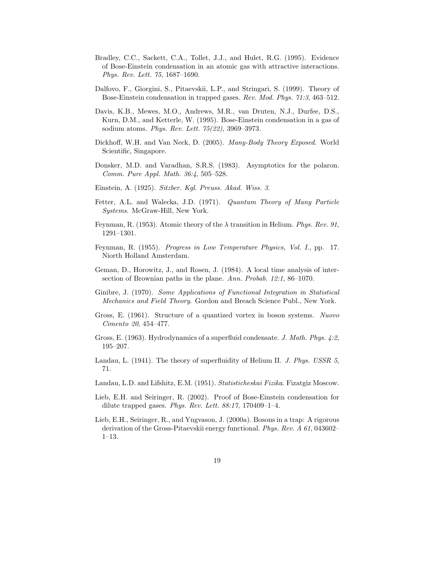- Bradley, C.C., Sackett, C.A., Tollet, J.J., and Hulet, R.G. (1995). Evidence of Bose-Einstein condensation in an atomic gas with attractive interactions. Phys. Rev. Lett. 75, 1687–1690.
- Dalfovo, F., Giorgini, S., Pitaevskii, L.P., and Stringari, S. (1999). Theory of Bose-Einstein condensation in trapped gases. Rev. Mod. Phys. 71:3, 463–512.
- Davis, K.B., Mewes, M.O., Andrews, M.R., van Druten, N.J., Durfee, D.S., Kurn, D.M., and Ketterle, W. (1995). Bose-Einstein condensation in a gas of sodium atoms. Phys. Rev. Lett. 75(22), 3969–3973.
- Dickhoff, W.H. and Van Neck, D. (2005). Many-Body Theory Exposed. World Scientific, Singapore.
- Donsker, M.D. and Varadhan, S.R.S. (1983). Asymptotics for the polaron. Comm. Pure Appl. Math. 36:4, 505–528.
- Einstein, A. (1925). Sitzber. Kgl. Preuss. Akad. Wiss. 3.
- Fetter, A.L. and Walecka, J.D. (1971). Quantum Theory of Many Particle Systems. McGraw-Hill, New York.
- Feynman, R. (1953). Atomic theory of the  $\lambda$  transition in Helium. Phys. Rev. 91, 1291–1301.
- Feynman, R. (1955). Progress in Low Temperature Physics, Vol. I., pp. 17. Niorth Holland Amsterdam.
- Geman, D., Horowitz, J., and Rosen, J. (1984). A local time analysis of intersection of Brownian paths in the plane. Ann. Probab. 12:1, 86–1070.
- Ginibre, J. (1970). Some Applications of Functional Integration in Statistical Mechanics and Field Theory. Gordon and Breach Science Publ., New York.
- Gross, E. (1961). Structure of a quantized vortex in boson systems. Nuovo Cimento 20, 454–477.
- Gross, E. (1963). Hydrodynamics of a superfluid condensate. J. Math. Phys. 4:2, 195–207.
- Landau, L. (1941). The theory of superfluidity of Helium II. J. Phys. USSR 5. 71.
- Landau, L.D. and Lifshitz, E.M. (1951). Statisticheskai Fizika. Fizatgiz Moscow.
- Lieb, E.H. and Seiringer, R. (2002). Proof of Bose-Einstein condensation for dilute trapped gases. Phys. Rev. Lett.  $88:17$ , 170409-1-4.
- Lieb, E.H., Seiringer, R., and Yngvason, J. (2000a). Bosons in a trap: A rigorous derivation of the Gross-Pitaevskii energy functional. Phys. Rev. A 61, 043602– 1–13.